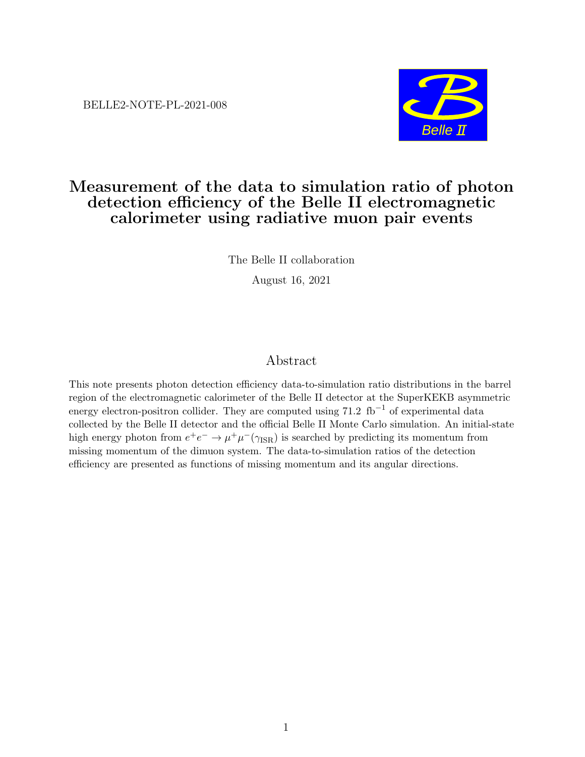BELLE2-NOTE-PL-2021-008



# Measurement of the data to simulation ratio of photon detection efficiency of the Belle II electromagnetic calorimeter using radiative muon pair events

The Belle II collaboration

August 16, 2021

# Abstract

This note presents photon detection efficiency data-to-simulation ratio distributions in the barrel region of the electromagnetic calorimeter of the Belle II detector at the SuperKEKB asymmetric energy electron-positron collider. They are computed using  $71.2 \text{ fb}^{-1}$  of experimental data collected by the Belle II detector and the official Belle II Monte Carlo simulation. An initial-state high energy photon from  $e^+e^- \to \mu^+\mu^-(\gamma_{\rm ISR})$  is searched by predicting its momentum from missing momentum of the dimuon system. The data-to-simulation ratios of the detection efficiency are presented as functions of missing momentum and its angular directions.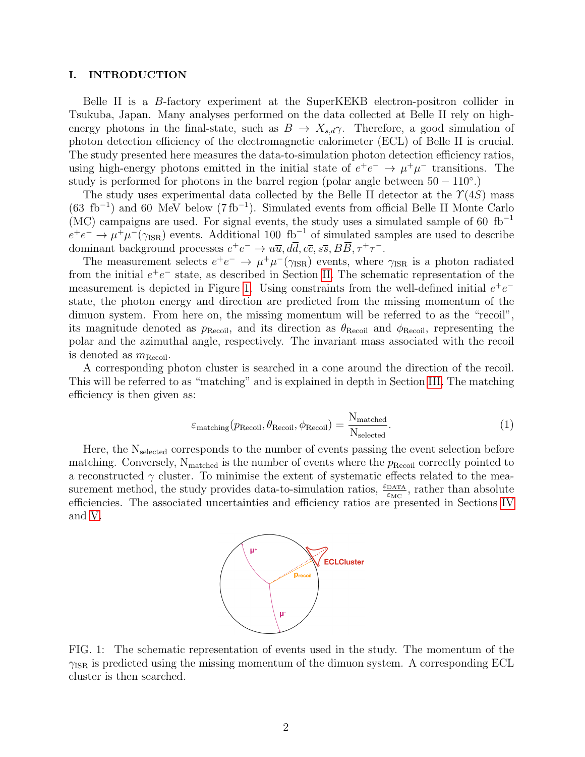#### I. INTRODUCTION

Belle II is a B-factory experiment at the SuperKEKB electron-positron collider in Tsukuba, Japan. Many analyses performed on the data collected at Belle II rely on highenergy photons in the final-state, such as  $B \to X_{s,d} \gamma$ . Therefore, a good simulation of photon detection efficiency of the electromagnetic calorimeter (ECL) of Belle II is crucial. The study presented here measures the data-to-simulation photon detection efficiency ratios, using high-energy photons emitted in the initial state of  $e^+e^- \rightarrow \mu^+\mu^-$  transitions. The study is performed for photons in the barrel region (polar angle between  $50 - 110^{\circ}$ .)

The study uses experimental data collected by the Belle II detector at the  $\Upsilon(4S)$  mass  $(63 \text{ fb}^{-1})$  and 60 MeV below  $(7 \text{ fb}^{-1})$ . Simulated events from official Belle II Monte Carlo (MC) campaigns are used. For signal events, the study uses a simulated sample of 60  $fb^{-1}$  $e^+e^- \to \mu^+\mu^-(\gamma_{\rm ISR})$  events. Additional 100 fb<sup>-1</sup> of simulated samples are used to describe dominant background processes  $e^+e^- \to u\overline{u}, d\overline{d}, c\overline{c}, s\overline{s}, B\overline{B}, \tau^+\tau^-$ .

The measurement selects  $e^+e^- \to \mu^+\mu^-(\gamma_{\rm ISR})$  events, where  $\gamma_{\rm ISR}$  is a photon radiated from the initial  $e^+e^-$  state, as described in Section [II.](#page-2-0) The schematic representation of the measurement is depicted in Figure [1.](#page-1-0) Using constraints from the well-defined initial  $e^+e^$ state, the photon energy and direction are predicted from the missing momentum of the dimuon system. From here on, the missing momentum will be referred to as the "recoil", its magnitude denoted as  $p_{\text{Recoil}}$ , and its direction as  $\theta_{\text{Recoil}}$  and  $\phi_{\text{Recoil}}$ , representing the polar and the azimuthal angle, respectively. The invariant mass associated with the recoil is denoted as  $m_{\text{Recoil}}$ .

<span id="page-1-1"></span>A corresponding photon cluster is searched in a cone around the direction of the recoil. This will be referred to as "matching" and is explained in depth in Section [III.](#page-2-1) The matching efficiency is then given as:

$$
\varepsilon_{\text{matching}}(p_{\text{Recoil}}, \theta_{\text{Recoil}}, \phi_{\text{Recoil}}) = \frac{N_{\text{matched}}}{N_{\text{selected}}}.
$$
\n(1)

<span id="page-1-0"></span>Here, the  $N_{selected}$  corresponds to the number of events passing the event selection before matching. Conversely,  $N_{\text{matched}}$  is the number of events where the  $p_{\text{Recoil}}$  correctly pointed to a reconstructed  $\gamma$  cluster. To minimise the extent of systematic effects related to the measurement method, the study provides data-to-simulation ratios,  $\frac{\varepsilon_{\text{DATA}}}{\varepsilon_{\text{MC}}}$ , rather than absolute efficiencies. The associated uncertainties and efficiency ratios are presented in Sections [IV](#page-3-0) and [V.](#page-3-1)



FIG. 1: The schematic representation of events used in the study. The momentum of the  $\gamma_{\rm ISR}$  is predicted using the missing momentum of the dimuon system. A corresponding ECL cluster is then searched.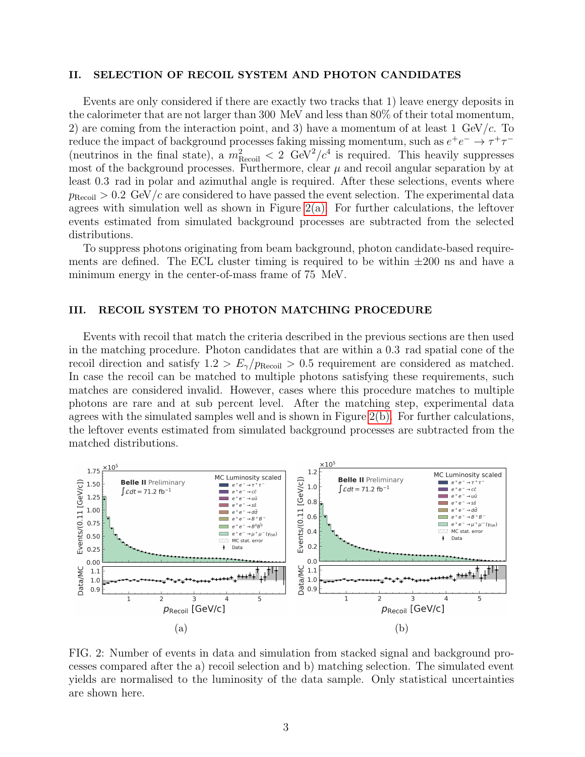## <span id="page-2-0"></span>II. SELECTION OF RECOIL SYSTEM AND PHOTON CANDIDATES

Events are only considered if there are exactly two tracks that 1) leave energy deposits in the calorimeter that are not larger than 300 MeV and less than 80% of their total momentum, 2) are coming from the interaction point, and 3) have a momentum of at least 1 GeV/ $c$ . To reduce the impact of background processes faking missing momentum, such as  $e^+e^- \to \tau^+\tau^-$ (neutrinos in the final state), a  $m_{\text{Recoil}}^2 < 2 \text{ GeV}^2/c^4$  is required. This heavily suppresses most of the background processes. Furthermore, clear  $\mu$  and recoil angular separation by at least 0.3 rad in polar and azimuthal angle is required. After these selections, events where  $p_{\text{Recoil}} > 0.2 \text{ GeV}/c$  are considered to have passed the event selection. The experimental data agrees with simulation well as shown in Figure  $2(a)$ . For further calculations, the leftover events estimated from simulated background processes are subtracted from the selected distributions.

To suppress photons originating from beam background, photon candidate-based requirements are defined. The ECL cluster timing is required to be within  $\pm 200$  ns and have a minimum energy in the center-of-mass frame of 75 MeV.

## <span id="page-2-1"></span>III. RECOIL SYSTEM TO PHOTON MATCHING PROCEDURE

Events with recoil that match the criteria described in the previous sections are then used in the matching procedure. Photon candidates that are within a 0.3 rad spatial cone of the recoil direction and satisfy  $1.2 > E_{\gamma}/p_{\text{Recoil}} > 0.5$  requirement are considered as matched. In case the recoil can be matched to multiple photons satisfying these requirements, such matches are considered invalid. However, cases where this procedure matches to multiple photons are rare and at sub percent level. After the matching step, experimental data agrees with the simulated samples well and is shown in Figure [2\(b\).](#page-2-2) For further calculations, the leftover events estimated from simulated background processes are subtracted from the matched distributions.

<span id="page-2-2"></span>

FIG. 2: Number of events in data and simulation from stacked signal and background processes compared after the a) recoil selection and b) matching selection. The simulated event yields are normalised to the luminosity of the data sample. Only statistical uncertainties are shown here.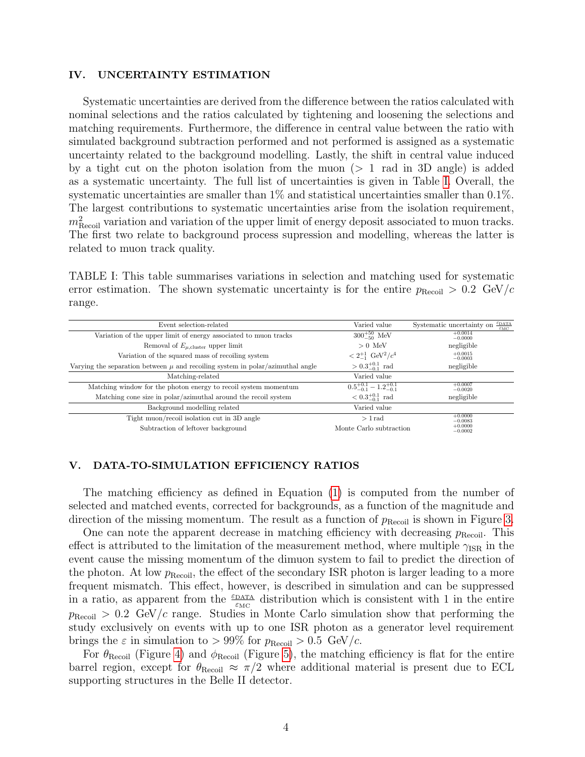## <span id="page-3-0"></span>IV. UNCERTAINTY ESTIMATION

Systematic uncertainties are derived from the difference between the ratios calculated with nominal selections and the ratios calculated by tightening and loosening the selections and matching requirements. Furthermore, the difference in central value between the ratio with simulated background subtraction performed and not performed is assigned as a systematic uncertainty related to the background modelling. Lastly, the shift in central value induced by a tight cut on the photon isolation from the muon (> 1 rad in 3D angle) is added as a systematic uncertainty. The full list of uncertainties is given in Table [I.](#page-3-2) Overall, the systematic uncertainties are smaller than 1% and statistical uncertainties smaller than 0.1%. The largest contributions to systematic uncertainties arise from the isolation requirement,  $m<sub>Recoil</sub><sup>2</sup>$  variation and variation of the upper limit of energy deposit associated to muon tracks. The first two relate to background process supression and modelling, whereas the latter is related to muon track quality.

<span id="page-3-2"></span>TABLE I: This table summarises variations in selection and matching used for systematic error estimation. The shown systematic uncertainty is for the entire  $p_{\text{Recoil}} > 0.2 \text{ GeV}/c$ range.

| Varied value                             | $\epsilon$ DATA<br>Systematic uncertainty on<br>$\varepsilon_{\mathrm{MC}}$ |
|------------------------------------------|-----------------------------------------------------------------------------|
| $300^{+50}_{-50}$ MeV                    | $+0.0014$<br>$-0.0000$                                                      |
| $> 0$ MeV                                | negligible                                                                  |
| $< 2^{+1}_{-1}$ GeV <sup>2</sup> / $c^4$ | $+0.0015$<br>$-0.0003$                                                      |
| $> 0.3^{+0.1}_{-0.1}$ rad                | negligible                                                                  |
| Varied value                             |                                                                             |
| $0.5^{+0.1}_{-0.1} - 1.2^{+0.1}_{-0.1}$  | $+0.0007$<br>$-0.0020$                                                      |
| $< 0.3_{-0.1}^{+0.1}$ rad                | negligible                                                                  |
| Varied value                             |                                                                             |
| $>1$ rad                                 | $+0.0000$<br>$-0.0083$                                                      |
|                                          | $^{+0.0000}_{-0.0002}$                                                      |
|                                          | Monte Carlo subtraction                                                     |

#### <span id="page-3-1"></span>V. DATA-TO-SIMULATION EFFICIENCY RATIOS

The matching efficiency as defined in Equation [\(1\)](#page-1-1) is computed from the number of selected and matched events, corrected for backgrounds, as a function of the magnitude and direction of the missing momentum. The result as a function of  $p_{\text{Recoil}}$  is shown in Figure [3.](#page-4-0)

One can note the apparent decrease in matching efficiency with decreasing  $p_{\text{Recoil}}$ . This effect is attributed to the limitation of the measurement method, where multiple  $\gamma_{\rm ISR}$  in the event cause the missing momentum of the dimuon system to fail to predict the direction of the photon. At low  $p_{\text{Recoil}}$ , the effect of the secondary ISR photon is larger leading to a more frequent mismatch. This effect, however, is described in simulation and can be suppressed in a ratio, as apparent from the  $\frac{\epsilon_{\text{DATA}}}{\epsilon_{\text{MC}}}$  distribution which is consistent with 1 in the entire  $p_{\text{Recoil}} > 0.2 \text{ GeV}/c$  range. Studies in Monte Carlo simulation show that performing the study exclusively on events with up to one ISR photon as a generator level requirement brings the  $\varepsilon$  in simulation to  $> 99\%$  for  $p_{\text{Recoil}} > 0.5$  GeV/c.

For  $\theta_{\text{Recoil}}$  (Figure [4\)](#page-5-0) and  $\phi_{\text{Recoil}}$  (Figure [5\)](#page-6-0), the matching efficiency is flat for the entire barrel region, except for  $\theta_{\text{Recoil}} \approx \pi/2$  where additional material is present due to ECL supporting structures in the Belle II detector.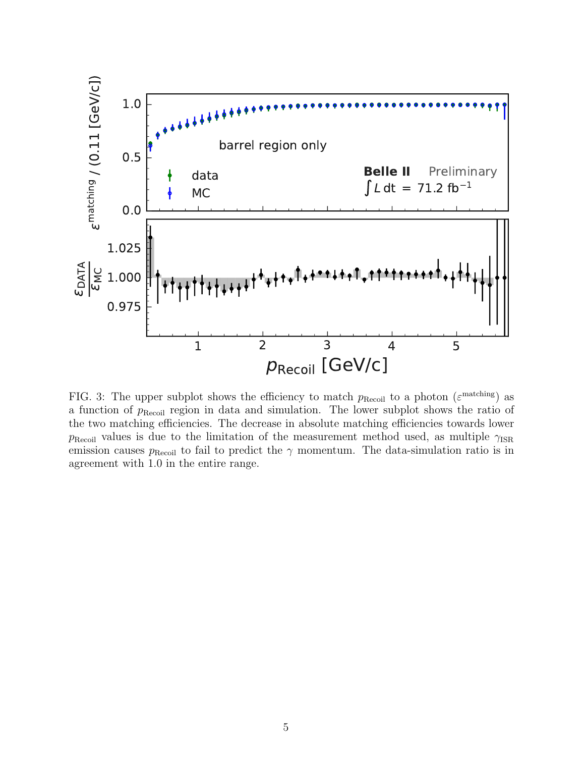<span id="page-4-0"></span>

FIG. 3: The upper subplot shows the efficiency to match  $p_{\text{Recoil}}$  to a photon ( $\varepsilon^{\text{matching}}$ ) as a function of  $p_{\text{Recoil}}$  region in data and simulation. The lower subplot shows the ratio of the two matching efficiencies. The decrease in absolute matching efficiencies towards lower  $p_{\text{Recoil}}$  values is due to the limitation of the measurement method used, as multiple  $\gamma_{\text{ISR}}$ emission causes  $p_{\text{Recoil}}$  to fail to predict the  $\gamma$  momentum. The data-simulation ratio is in agreement with 1.0 in the entire range.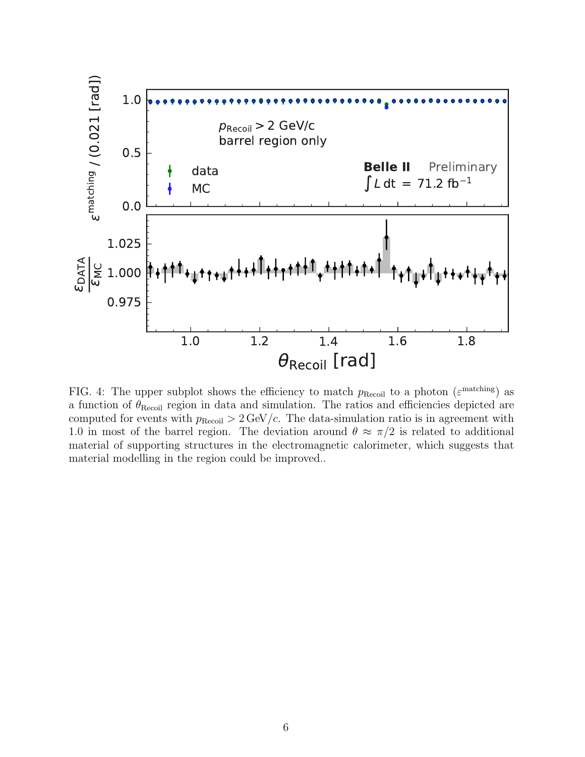<span id="page-5-0"></span>

FIG. 4: The upper subplot shows the efficiency to match  $p_{\text{Recoil}}$  to a photon  $(\varepsilon^{\text{matching}})$  as a function of  $\theta_{\text{Recoil}}$  region in data and simulation. The ratios and efficiencies depicted are computed for events with  $p_{\text{Recoil}} > 2 \,\text{GeV}/c$ . The data-simulation ratio is in agreement with 1.0 in most of the barrel region. The deviation around  $\theta \approx \pi/2$  is related to additional material of supporting structures in the electromagnetic calorimeter, which suggests that material modelling in the region could be improved..